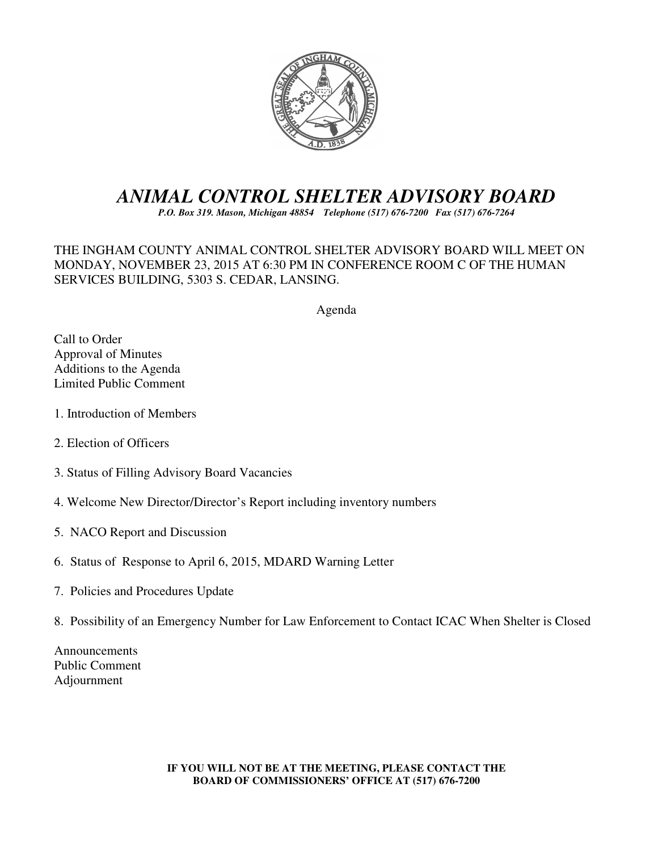

# *ANIMAL CONTROL SHELTER ADVISORY BOARD*

*P.O. Box 319. Mason, Michigan 48854 Telephone (517) 676-7200 Fax (517) 676-7264*

THE INGHAM COUNTY ANIMAL CONTROL SHELTER ADVISORY BOARD WILL MEET ON MONDAY, NOVEMBER 23, 2015 AT 6:30 PM IN CONFERENCE ROOM C OF THE HUMAN SERVICES BUILDING, 5303 S. CEDAR, LANSING.

Agenda

Call to Order Approval of Minutes Additions to the Agenda Limited Public Comment

- 1. Introduction of Members
- 2. Election of Officers
- 3. Status of Filling Advisory Board Vacancies
- 4. Welcome New Director/Director's Report including inventory numbers
- 5. NACO Report and Discussion
- 6. Status of Response to April 6, 2015, MDARD Warning Letter
- 7. Policies and Procedures Update
- 8. Possibility of an Emergency Number for Law Enforcement to Contact ICAC When Shelter is Closed

Announcements Public Comment Adjournment

> **IF YOU WILL NOT BE AT THE MEETING, PLEASE CONTACT THE BOARD OF COMMISSIONERS' OFFICE AT (517) 676-7200**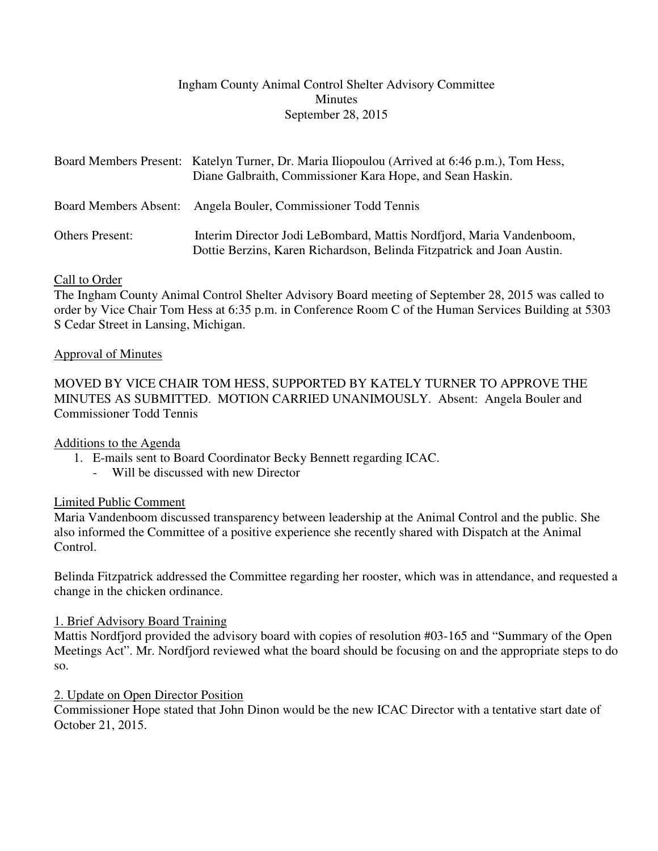## Ingham County Animal Control Shelter Advisory Committee Minutes September 28, 2015

|                        | Board Members Present: Katelyn Turner, Dr. Maria Iliopoulou (Arrived at 6:46 p.m.), Tom Hess,<br>Diane Galbraith, Commissioner Kara Hope, and Sean Haskin. |
|------------------------|------------------------------------------------------------------------------------------------------------------------------------------------------------|
|                        | Board Members Absent: Angela Bouler, Commissioner Todd Tennis                                                                                              |
| <b>Others Present:</b> | Interim Director Jodi LeBombard, Mattis Nordfjord, Maria Vandenboom,<br>Dottie Berzins, Karen Richardson, Belinda Fitzpatrick and Joan Austin.             |

## Call to Order

The Ingham County Animal Control Shelter Advisory Board meeting of September 28, 2015 was called to order by Vice Chair Tom Hess at 6:35 p.m. in Conference Room C of the Human Services Building at 5303 S Cedar Street in Lansing, Michigan.

## Approval of Minutes

MOVED BY VICE CHAIR TOM HESS, SUPPORTED BY KATELY TURNER TO APPROVE THE MINUTES AS SUBMITTED. MOTION CARRIED UNANIMOUSLY. Absent: Angela Bouler and Commissioner Todd Tennis

# Additions to the Agenda

- 1. E-mails sent to Board Coordinator Becky Bennett regarding ICAC.
	- Will be discussed with new Director

# Limited Public Comment

Maria Vandenboom discussed transparency between leadership at the Animal Control and the public. She also informed the Committee of a positive experience she recently shared with Dispatch at the Animal Control.

Belinda Fitzpatrick addressed the Committee regarding her rooster, which was in attendance, and requested a change in the chicken ordinance.

## 1. Brief Advisory Board Training

Mattis Nordfjord provided the advisory board with copies of resolution #03-165 and "Summary of the Open Meetings Act". Mr. Nordfjord reviewed what the board should be focusing on and the appropriate steps to do so.

## 2. Update on Open Director Position

Commissioner Hope stated that John Dinon would be the new ICAC Director with a tentative start date of October 21, 2015.